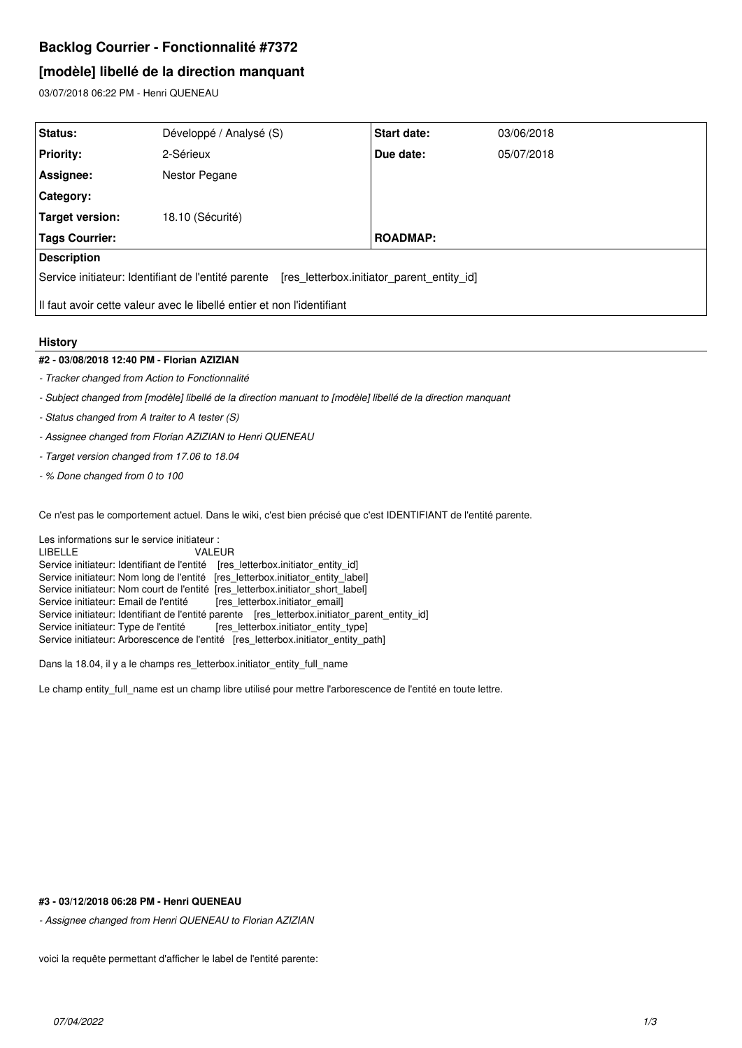# **Backlog Courrier - Fonctionnalité #7372**

# **[modèle] libellé de la direction manquant**

03/07/2018 06:22 PM - Henri QUENEAU

| Status:                                                                                           | Développé / Analysé (S) | Start date:     | 03/06/2018 |
|---------------------------------------------------------------------------------------------------|-------------------------|-----------------|------------|
| <b>Priority:</b>                                                                                  | 2-Sérieux               | Due date:       | 05/07/2018 |
| Assignee:                                                                                         | Nestor Pegane           |                 |            |
| Category:                                                                                         |                         |                 |            |
| Target version:                                                                                   | 18.10 (Sécurité)        |                 |            |
| Tags Courrier:                                                                                    |                         | <b>ROADMAP:</b> |            |
| <b>Description</b>                                                                                |                         |                 |            |
| Service initiateur: Identifiant de l'entité parente<br>[res letterbox.initiator parent entity id] |                         |                 |            |
| II faut avoir cette valeur avec le libellé entier et non l'identifiant                            |                         |                 |            |

# **History**

## **#2 - 03/08/2018 12:40 PM - Florian AZIZIAN**

*- Tracker changed from Action to Fonctionnalité*

- *Subject changed from [modèle] libellé de la direction manuant to [modèle] libellé de la direction manquant*
- *Status changed from A traiter to A tester (S)*
- *Assignee changed from Florian AZIZIAN to Henri QUENEAU*
- *Target version changed from 17.06 to 18.04*
- *% Done changed from 0 to 100*

Ce n'est pas le comportement actuel. Dans le wiki, c'est bien précisé que c'est IDENTIFIANT de l'entité parente.

Les informations sur le service initiateur : LIBELLE VALEUR Service initiateur: Identifiant de l'entité [res\_letterbox.initiator\_entity\_id] Service initiateur: Nom long de l'entité [res\_letterbox.initiator\_entity\_label] Service initiateur: Nom court de l'entité [res\_letterbox.initiator\_short\_label]<br>Service initiateur: Email de l'entité [res\_letterbox.initiator\_email] Service initiateur: Email de l'entité Service initiateur: Identifiant de l'entité parente [res letterbox.initiator parent entity id] Service initiateur: Type de l'entité [res\_letterbox.initiator\_entity\_type] Service initiateur: Arborescence de l'entité [res\_letterbox.initiator\_entity\_path]

Dans la 18.04, il y a le champs res\_letterbox.initiator\_entity\_full\_name

Le champ entity full name est un champ libre utilisé pour mettre l'arborescence de l'entité en toute lettre.

#### **#3 - 03/12/2018 06:28 PM - Henri QUENEAU**

*- Assignee changed from Henri QUENEAU to Florian AZIZIAN*

voici la requête permettant d'afficher le label de l'entité parente: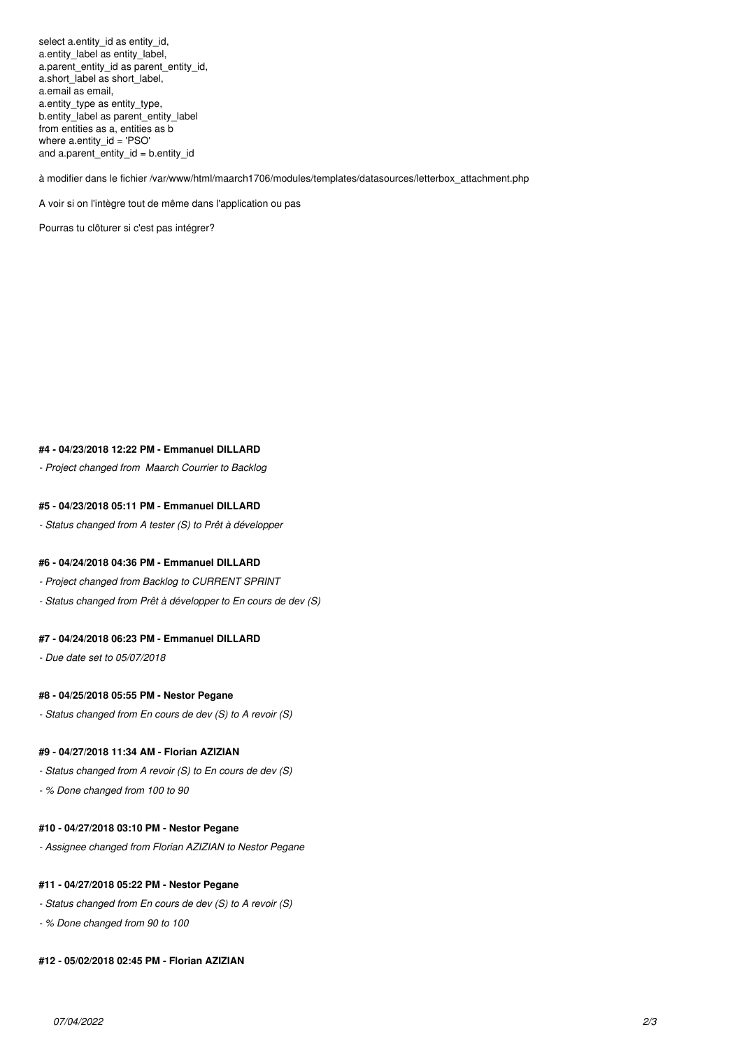select a.entity\_id as entity\_id, a.entity\_label as entity\_label, a.parent\_entity\_id as parent\_entity\_id, a.short\_label as short\_label, a.email as email, a.entity\_type as entity\_type, b.entity\_label as parent\_entity\_label from entities as a, entities as b where a.entity\_id = 'PSO' and a.parent entity  $id = b$ .entity  $id$ 

à modifier dans le fichier /var/www/html/maarch1706/modules/templates/datasources/letterbox\_attachment.php

A voir si on l'intègre tout de même dans l'application ou pas

Pourras tu clôturer si c'est pas intégrer?

#### **#4 - 04/23/2018 12:22 PM - Emmanuel DILLARD**

*- Project changed from Maarch Courrier to Backlog*

#### **#5 - 04/23/2018 05:11 PM - Emmanuel DILLARD**

*- Status changed from A tester (S) to Prêt à développer*

#### **#6 - 04/24/2018 04:36 PM - Emmanuel DILLARD**

*- Project changed from Backlog to CURRENT SPRINT*

*- Status changed from Prêt à développer to En cours de dev (S)*

#### **#7 - 04/24/2018 06:23 PM - Emmanuel DILLARD**

*- Due date set to 05/07/2018*

#### **#8 - 04/25/2018 05:55 PM - Nestor Pegane**

*- Status changed from En cours de dev (S) to A revoir (S)*

#### **#9 - 04/27/2018 11:34 AM - Florian AZIZIAN**

*- Status changed from A revoir (S) to En cours de dev (S)*

*- % Done changed from 100 to 90*

## **#10 - 04/27/2018 03:10 PM - Nestor Pegane**

*- Assignee changed from Florian AZIZIAN to Nestor Pegane*

## **#11 - 04/27/2018 05:22 PM - Nestor Pegane**

*- Status changed from En cours de dev (S) to A revoir (S)*

*- % Done changed from 90 to 100*

#### **#12 - 05/02/2018 02:45 PM - Florian AZIZIAN**